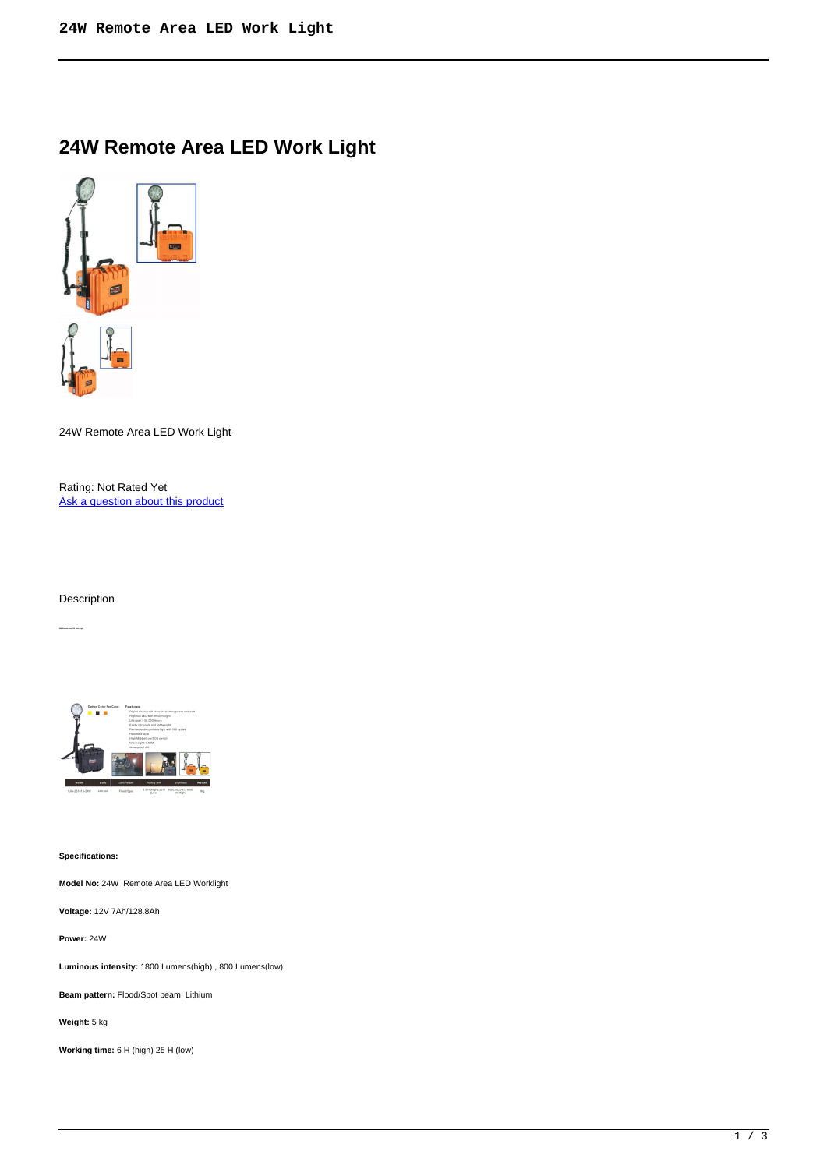## **24W Remote Area LED Work Light**



24W Remote Area LED Work Light

Rating: Not Rated Yet [Ask a question about this product](https://outdeck.com/index.php?option=com_virtuemart&view=productdetails&task=askquestion&virtuemart_product_id=152&virtuemart_category_id=5&tmpl=component) 

Description



**Specifications:** 

**Model No:** 24W Remote Area LED Worklight

**Voltage:** 12V 7Ah/128.8Ah

**Power:** 24W

**Luminous intensity:** 1800 Lumens(high) , 800 Lumens(low)

**Beam pattern:** Flood/Spot beam, Lithium

**Weight:** 5 kg

**Working time:** 6 H (high) 25 H (low)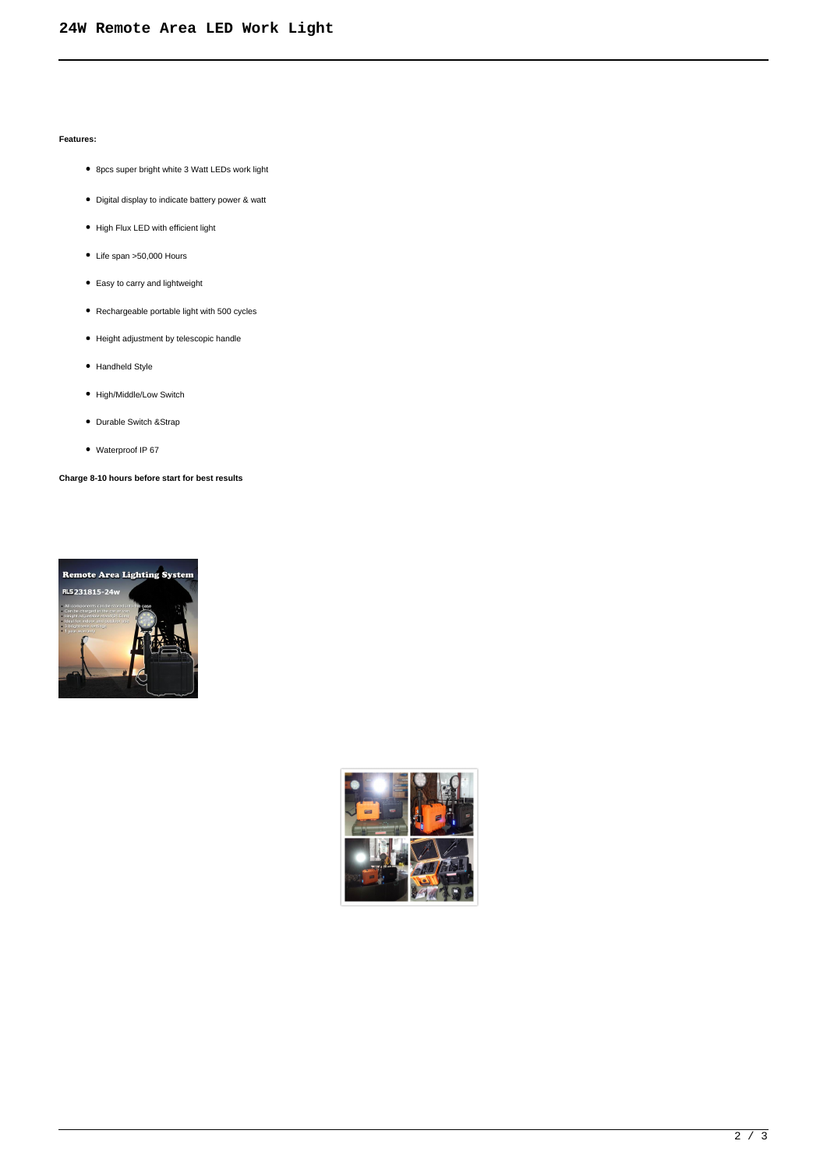## **Features:**

- 8pcs super bright white 3 Watt LEDs work light
- Digital display to indicate battery power & watt
- High Flux LED with efficient light
- Life span >50,000 Hours
- Easy to carry and lightweight
- Rechargeable portable light with 500 cycles
- Height adjustment by telescopic handle
- Handheld Style
- High/Middle/Low Switch
- Durable Switch &Strap
- Waterproof IP 67

**Charge 8-10 hours before start for best results**